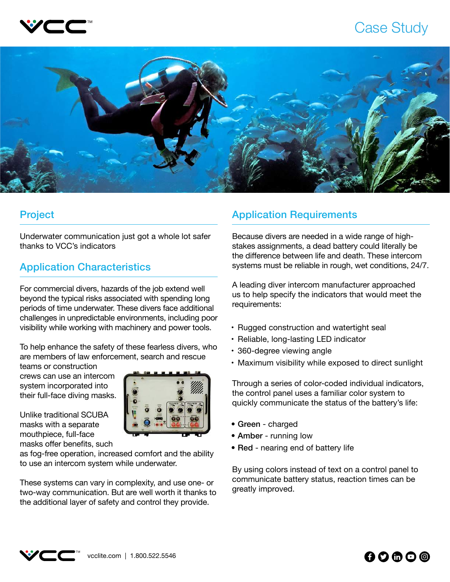

## Case Study



Underwater communication just got a whole lot safer thanks to VCC's indicators

## Application Characteristics

For commercial divers, hazards of the job extend well beyond the typical risks associated with spending long periods of time underwater. These divers face additional challenges in unpredictable environments, including poor visibility while working with machinery and power tools.

To help enhance the safety of these fearless divers, who are members of law enforcement, search and rescue

teams or construction crews can use an intercom system incorporated into their full-face diving masks.



Unlike traditional SCUBA masks with a separate mouthpiece, full-face masks offer benefits, such

as fog-free operation, increased comfort and the ability to use an intercom system while underwater.

These systems can vary in complexity, and use one- or two-way communication. But are well worth it thanks to the additional layer of safety and control they provide.

## Project **Application Requirements**

Because divers are needed in a wide range of highstakes assignments, a dead battery could literally be the difference between life and death. These intercom systems must be reliable in rough, wet conditions, 24/7.

A leading diver intercom manufacturer approached us to help specify the indicators that would meet the requirements:

- Rugged construction and watertight seal
- Reliable, long-lasting LED indicator
- 360-degree viewing angle
- Maximum visibility while exposed to direct sunlight

Through a series of color-coded individual indicators, the control panel uses a familiar color system to quickly communicate the status of the battery's life:

- Green charged
- Amber running low
- Red nearing end of battery life

By using colors instead of text on a control panel to communicate battery status, reaction times can be greatly improved.